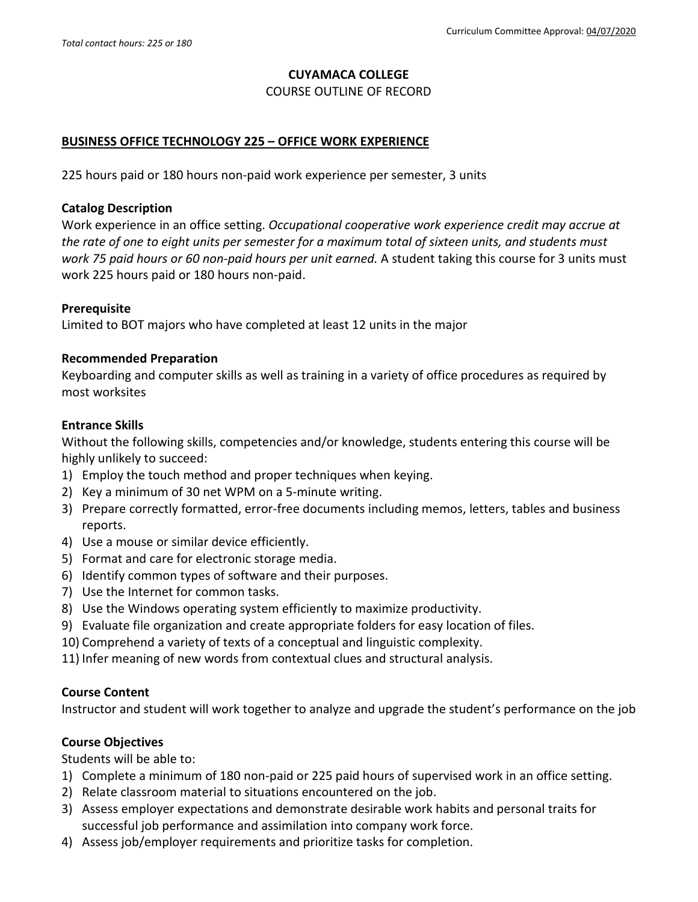### **CUYAMACA COLLEGE**

COURSE OUTLINE OF RECORD

#### **BUSINESS OFFICE TECHNOLOGY 225 – OFFICE WORK EXPERIENCE**

225 hours paid or 180 hours non-paid work experience per semester, 3 units

#### **Catalog Description**

Work experience in an office setting. *Occupational cooperative work experience credit may accrue at the rate of one to eight units per semester for a maximum total of sixteen units, and students must work 75 paid hours or 60 non-paid hours per unit earned.* A student taking this course for 3 units must work 225 hours paid or 180 hours non-paid.

### **Prerequisite**

Limited to BOT majors who have completed at least 12 units in the major

#### **Recommended Preparation**

Keyboarding and computer skills as well as training in a variety of office procedures as required by most worksites

#### **Entrance Skills**

Without the following skills, competencies and/or knowledge, students entering this course will be highly unlikely to succeed:

- 1) Employ the touch method and proper techniques when keying.
- 2) Key a minimum of 30 net WPM on a 5-minute writing.
- 3) Prepare correctly formatted, error-free documents including memos, letters, tables and business reports.
- 4) Use a mouse or similar device efficiently.
- 5) Format and care for electronic storage media.
- 6) Identify common types of software and their purposes.
- 7) Use the Internet for common tasks.
- 8) Use the Windows operating system efficiently to maximize productivity.
- 9) Evaluate file organization and create appropriate folders for easy location of files.
- 10) Comprehend a variety of texts of a conceptual and linguistic complexity.
- 11) Infer meaning of new words from contextual clues and structural analysis.

### **Course Content**

Instructor and student will work together to analyze and upgrade the student's performance on the job

### **Course Objectives**

Students will be able to:

- 1) Complete a minimum of 180 non-paid or 225 paid hours of supervised work in an office setting.
- 2) Relate classroom material to situations encountered on the job.
- 3) Assess employer expectations and demonstrate desirable work habits and personal traits for successful job performance and assimilation into company work force.
- 4) Assess job/employer requirements and prioritize tasks for completion.